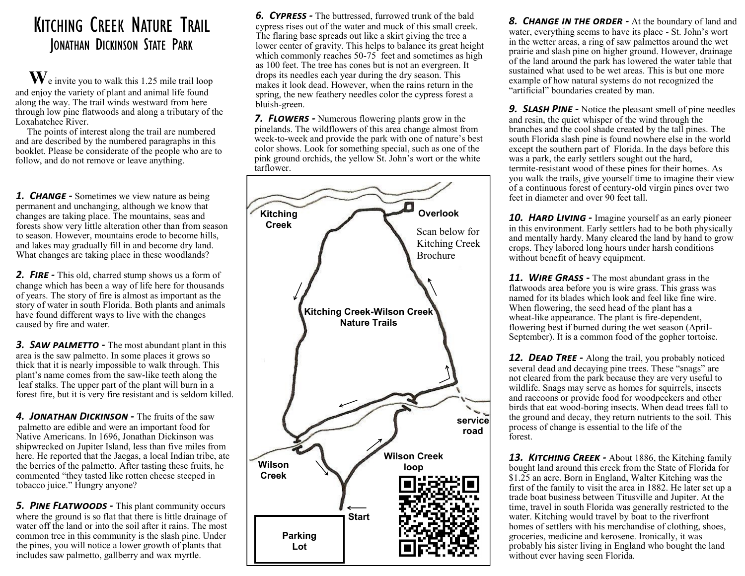## KITCHING CREEK NATURE TRAIL JONATHAN DICKINSON STATE PARK

 **W**e invite you to walk this 1.25 mile trail loop and enjoy the variety of plant and animal life found along the way. The trail winds westward from here through low pine flatwoods and along a tributary of the Loxahatchee River.

 The points of interest along the trail are numbered and are described by the numbered paragraphs in this booklet. Please be considerate of the people who are to follow, and do not remove or leave anything.

**1. CHANGE** - Sometimes we view nature as being permanent and unchanging, although we know that changes are taking place. The mountains, seas and forests show very little alteration other than from season to season. However, mountains erode to become hills, and lakes may gradually fill in and become dry land. What changes are taking place in these woodlands?

**2. FIRE** - This old, charred stump shows us a form of change which has been a way of life here for thousands of years. The story of fire is almost as important as the story of water in south Florida. Both plants and animals have found different ways to live with the changes caused by fire and water.

*3. Saw palmetto -* The most abundant plant in this area is the saw palmetto. In some places it grows so thick that it is nearly impossible to walk through. This plant's name comes from the saw-like teeth along the leaf stalks. The upper part of the plant will burn in a forest fire, but it is very fire resistant and is seldom killed.

*4. Jonathan Dickinson -* The fruits of the saw palmetto are edible and were an important food for Native Americans. In 1696, Jonathan Dickinson was shipwrecked on Jupiter Island, less than five miles from here. He reported that the Jaegas, a local Indian tribe, ate the berries of the palmetto. After tasting these fruits, he commented "they tasted like rotten cheese steeped in tobacco juice." Hungry anyone?

*5. Pine Flatwoods -* This plant community occurs where the ground is so flat that there is little drainage of water off the land or into the soil after it rains. The most common tree in this community is the slash pine. Under the pines, you will notice a lower growth of plants that includes saw palmetto, gallberry and wax myrtle.

*6. Cypress -* The buttressed, furrowed trunk of the bald cypress rises out of the water and muck of this small creek. The flaring base spreads out like a skirt giving the tree a lower center of gravity. This helps to balance its great height which commonly reaches 50-75 feet and sometimes as high as 100 feet. The tree has cones but is not an evergreen. It drops its needles each year during the dry season. This makes it look dead. However, when the rains return in the spring, the new feathery needles color the cypress forest a bluish-green.

*7. Flowers -* Numerous flowering plants grow in the pinelands. The wildflowers of this area change almost from week-to-week and provide the park with one of nature's best color shows. Look for something special, such as one of the pink ground orchids, the yellow St. John's wort or the white tarflower.



**8. CHANGE IN THE ORDER -** At the boundary of land and water, everything seems to have its place - St. John's wort in the wetter areas, a ring of saw palmettos around the wet prairie and slash pine on higher ground. However, drainage of the land around the park has lowered the water table that sustained what used to be wet areas. This is but one more example of how natural systems do not recognized the "artificial" boundaries created by man.

**9. SLASH PINE** - Notice the pleasant smell of pine needles and resin, the quiet whisper of the wind through the branches and the cool shade created by the tall pines. The south Florida slash pine is found nowhere else in the world except the southern part of Florida. In the days before this was a park, the early settlers sought out the hard, termite-resistant wood of these pines for their homes. As you walk the trails, give yourself time to imagine their view of a continuous forest of century-old virgin pines over two feet in diameter and over 90 feet tall.

*10. Hard Living -* Imagine yourself as an early pioneer in this environment. Early settlers had to be both physically and mentally hardy. Many cleared the land by hand to grow crops. They labored long hours under harsh conditions without benefit of heavy equipment.

*11. Wire Grass -* The most abundant grass in the flatwoods area before you is wire grass. This grass was named for its blades which look and feel like fine wire. When flowering, the seed head of the plant has a wheat-like appearance. The plant is fire-dependent, flowering best if burned during the wet season (April-September). It is a common food of the gopher tortoise.

*12. Dead Tree -* Along the trail, you probably noticed several dead and decaying pine trees. These "snags" are not cleared from the park because they are very useful to wildlife. Snags may serve as homes for squirrels, insects and raccoons or provide food for woodpeckers and other birds that eat wood-boring insects. When dead trees fall to the ground and decay, they return nutrients to the soil. This process of change is essential to the life of the forest.

*13. Kitching Creek -* About 1886, the Kitching family bought land around this creek from the State of Florida for \$1.25 an acre. Born in England, Walter Kitching was the first of the family to visit the area in 1882. He later set up a trade boat business between Titusville and Jupiter. At the time, travel in south Florida was generally restricted to the water. Kitching would travel by boat to the riverfront homes of settlers with his merchandise of clothing, shoes, groceries, medicine and kerosene. Ironically, it was probably his sister living in England who bought the land without ever having seen Florida.